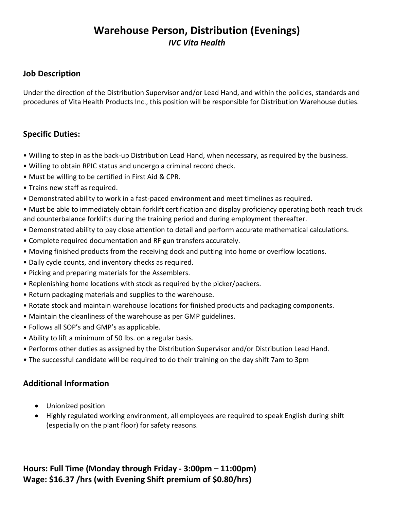# **Warehouse Person, Distribution (Evenings)** *IVC Vita Health*

### **Job Description**

Under the direction of the Distribution Supervisor and/or Lead Hand, and within the policies, standards and procedures of Vita Health Products Inc., this position will be responsible for Distribution Warehouse duties.

#### **Specific Duties:**

- Willing to step in as the back-up Distribution Lead Hand, when necessary, as required by the business.
- Willing to obtain RPIC status and undergo a criminal record check.
- Must be willing to be certified in First Aid & CPR.
- Trains new staff as required.
- Demonstrated ability to work in a fast-paced environment and meet timelines as required.
- Must be able to immediately obtain forklift certification and display proficiency operating both reach truck and counterbalance forklifts during the training period and during employment thereafter.
- Demonstrated ability to pay close attention to detail and perform accurate mathematical calculations.
- Complete required documentation and RF gun transfers accurately.
- Moving finished products from the receiving dock and putting into home or overflow locations.
- Daily cycle counts, and inventory checks as required.
- Picking and preparing materials for the Assemblers.
- Replenishing home locations with stock as required by the picker/packers.
- Return packaging materials and supplies to the warehouse.
- Rotate stock and maintain warehouse locations for finished products and packaging components.
- Maintain the cleanliness of the warehouse as per GMP guidelines.
- Follows all SOP's and GMP's as applicable.
- Ability to lift a minimum of 50 lbs. on a regular basis.
- Performs other duties as assigned by the Distribution Supervisor and/or Distribution Lead Hand.
- The successful candidate will be required to do their training on the day shift 7am to 3pm

## **Additional Information**

- Unionized position
- Highly regulated working environment, all employees are required to speak English during shift (especially on the plant floor) for safety reasons.

**Hours: Full Time (Monday through Friday - 3:00pm – 11:00pm) Wage: \$16.37 /hrs (with Evening Shift premium of \$0.80/hrs)**